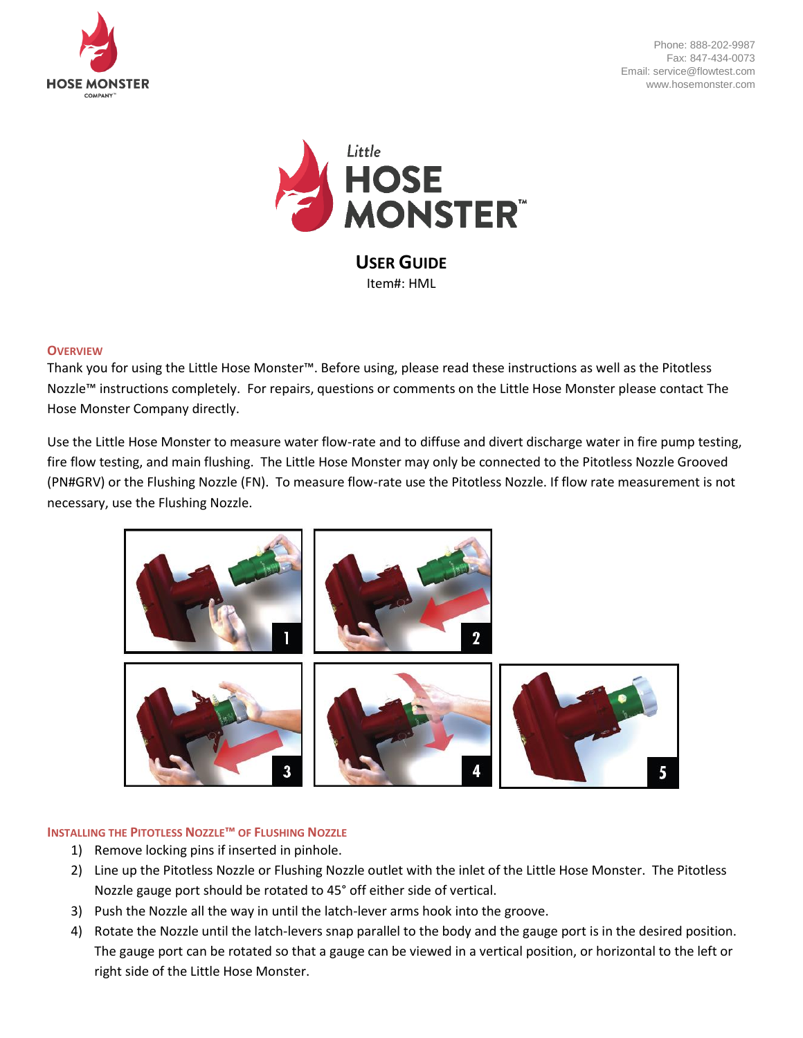

Phone: 888-202-9987 Fax: 847-434-0073 Email: service@flowtest.com www.hosemonster.com



**USER GUIDE** Item#: HML

## **OVERVIEW**

Thank you for using the Little Hose Monster™. Before using, please read these instructions as well as the Pitotless Nozzle™ instructions completely. For repairs, questions or comments on the Little Hose Monster please contact The Hose Monster Company directly.

Use the Little Hose Monster to measure water flow-rate and to diffuse and divert discharge water in fire pump testing, fire flow testing, and main flushing. The Little Hose Monster may only be connected to the Pitotless Nozzle Grooved (PN#GRV) or the Flushing Nozzle (FN). To measure flow-rate use the Pitotless Nozzle. If flow rate measurement is not necessary, use the Flushing Nozzle.



# **INSTALLING THE PITOTLESS NOZZLE™ OF FLUSHING NOZZLE**

- 1) Remove locking pins if inserted in pinhole.
- 2) Line up the Pitotless Nozzle or Flushing Nozzle outlet with the inlet of the Little Hose Monster. The Pitotless Nozzle gauge port should be rotated to 45° off either side of vertical.
- 3) Push the Nozzle all the way in until the latch-lever arms hook into the groove.
- 4) Rotate the Nozzle until the latch-levers snap parallel to the body and the gauge port is in the desired position. The gauge port can be rotated so that a gauge can be viewed in a vertical position, or horizontal to the left or right side of the Little Hose Monster.